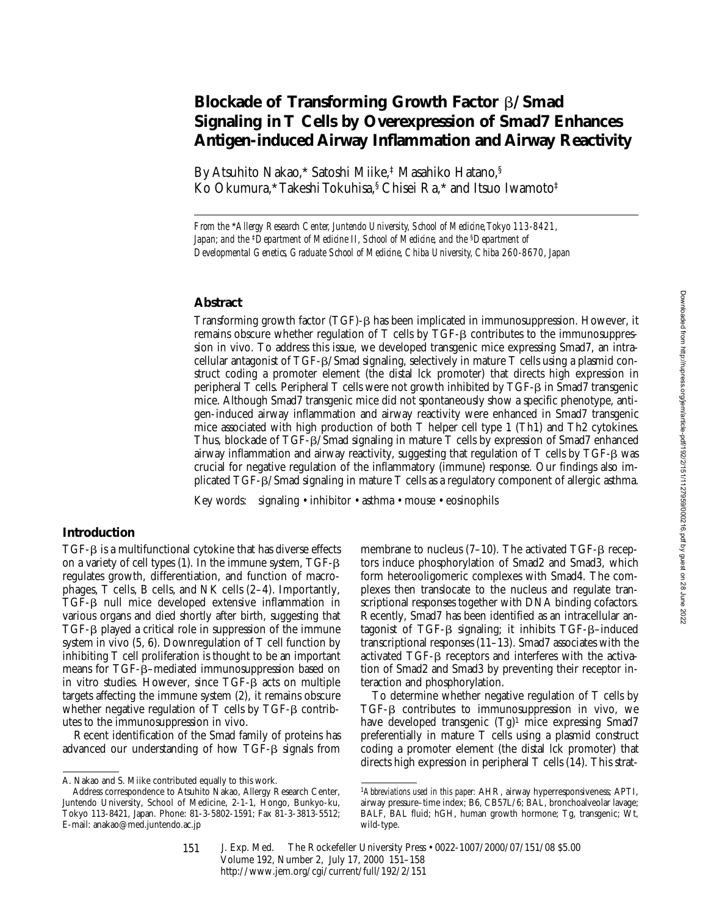# **Blockade of Transforming Growth Factor** b**/Smad Signaling in T Cells by Overexpression of Smad7 Enhances Antigen-induced Airway Inflammation and Airway Reactivity**

By Atsuhito Nakao,\* Satoshi Miike,‡ Masahiko Hatano,§ Ko Okumura,\* Takeshi Tokuhisa,§ Chisei Ra,\* and Itsuo Iwamoto‡

*From the* \**Allergy Research Center, Juntendo University, School of Medicine, Tokyo 113-8421, Japan; and the* <sup>‡</sup>*Department of Medicine II, School of Medicine, and the* <sup>§</sup>*Department of Developmental Genetics, Graduate School of Medicine, Chiba University, Chiba 260-8670, Japan*

## **Abstract**

Transforming growth factor (TGF)- $\beta$  has been implicated in immunosuppression. However, it remains obscure whether regulation of  $T$  cells by  $TGF-\beta$  contributes to the immunosuppression in vivo. To address this issue, we developed transgenic mice expressing Smad7, an intracellular antagonist of TGF- $\beta$ /Smad signaling, selectively in mature T cells using a plasmid construct coding a promoter element (the distal lck promoter) that directs high expression in peripheral T cells. Peripheral T cells were not growth inhibited by TGF- $\beta$  in Smad7 transgenic mice. Although Smad7 transgenic mice did not spontaneously show a specific phenotype, antigen-induced airway inflammation and airway reactivity were enhanced in Smad7 transgenic mice associated with high production of both T helper cell type 1 (Th1) and Th2 cytokines. Thus, blockade of TGF- $\beta$ /Smad signaling in mature T cells by expression of Smad7 enhanced airway inflammation and airway reactivity, suggesting that regulation of  $T$  cells by  $TGF-B$  was crucial for negative regulation of the inflammatory (immune) response. Our findings also implicated TGF- $\beta$ /Smad signaling in mature T cells as a regulatory component of allergic asthma.

Key words: signaling • inhibitor • asthma • mouse • eosinophils

### **Introduction**

 $TGF- $\beta$  is a multifunctional cytokine that has diverse effects$ on a variety of cell types  $(1)$ . In the immune system, TGF- $\beta$ regulates growth, differentiation, and function of macrophages, T cells, B cells, and NK cells (2–4). Importantly, TGF-b null mice developed extensive inflammation in various organs and died shortly after birth, suggesting that  $TGF- $\beta$  played a critical role in suppression of the immune$ system in vivo (5, 6). Downregulation of T cell function by inhibiting T cell proliferation is thought to be an important means for TGF-β–mediated immunosuppression based on in vitro studies. However, since  $TGF-\beta$  acts on multiple targets affecting the immune system (2), it remains obscure whether negative regulation of  $T$  cells by  $TGF-\beta$  contributes to the immunosuppression in vivo.

Recent identification of the Smad family of proteins has advanced our understanding of how  $TGF- $\beta$  signals from$ 

membrane to nucleus  $(7-10)$ . The activated TGF- $\beta$  receptors induce phosphorylation of Smad2 and Smad3, which form heterooligomeric complexes with Smad4. The complexes then translocate to the nucleus and regulate transcriptional responses together with DNA binding cofactors. Recently, Smad7 has been identified as an intracellular antagonist of TGF- $\beta$  signaling; it inhibits TGF- $\beta$ –induced transcriptional responses (11–13). Smad7 associates with the activated  $TGF-\beta$  receptors and interferes with the activation of Smad2 and Smad3 by preventing their receptor interaction and phosphorylation.

To determine whether negative regulation of T cells by  $TGF- $\beta$  contributes to immunosuppression in vivo, we$ have developed transgenic  $(Tg)^1$  mice expressing Smad7 preferentially in mature T cells using a plasmid construct coding a promoter element (the distal lck promoter) that directs high expression in peripheral T cells (14). This strat-

A. Nakao and S. Miike contributed equally to this work.

Address correspondence to Atsuhito Nakao, Allergy Research Center, Juntendo University, School of Medicine, 2-1-1, Hongo, Bunkyo-ku, Tokyo 113-8421, Japan. Phone: 81-3-5802-1591; Fax 81-3-3813-5512; E-mail: anakao@med.juntendo.ac.jp

<sup>1</sup>*Abbreviations used in this paper:* AHR, airway hyperresponsiveness; APTI, airway pressure–time index; B6, CB57L/6; BAL, bronchoalveolar lavage; BALF, BAL fluid; hGH, human growth hormone; Tg, transgenic; Wt, wild-type.

J. Exp. Med. The Rockefeller University Press • 0022-1007/2000/07/151/08 \$5.00 Volume 192, Number 2, July 17, 2000 151–158 http://www.jem.org/cgi/current/full/192/2/151 151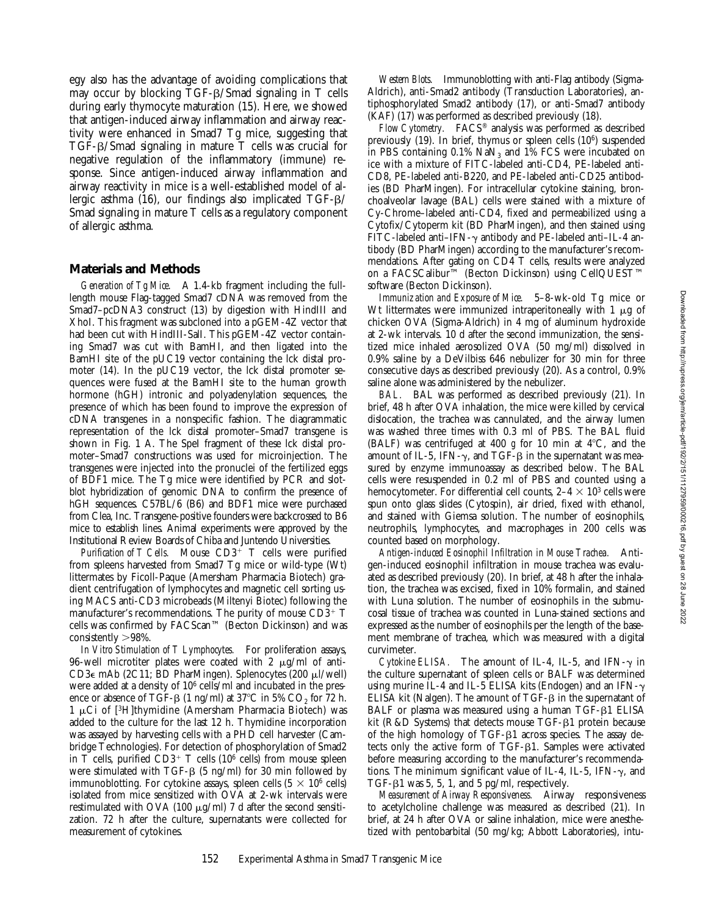egy also has the advantage of avoiding complications that may occur by blocking  $TGF-\beta/S$  mad signaling in  $T$  cells during early thymocyte maturation (15). Here, we showed that antigen-induced airway inflammation and airway reactivity were enhanced in Smad7 Tg mice, suggesting that TGF-b/Smad signaling in mature T cells was crucial for negative regulation of the inflammatory (immune) response. Since antigen-induced airway inflammation and airway reactivity in mice is a well-established model of allergic asthma (16), our findings also implicated TGF-b/ Smad signaling in mature T cells as a regulatory component of allergic asthma.

### **Materials and Methods**

*Generation of Tg Mice.* A 1.4-kb fragment including the fulllength mouse Flag-tagged Smad7 cDNA was removed from the Smad7–pcDNA3 construct (13) by digestion with HindIII and XhoI. This fragment was subcloned into a pGEM-4Z vector that had been cut with HindIII-SalI. This pGEM-4Z vector containing Smad7 was cut with BamHI, and then ligated into the BamHI site of the pUC19 vector containing the lck distal promoter (14). In the pUC19 vector, the lck distal promoter sequences were fused at the BamHI site to the human growth hormone (hGH) intronic and polyadenylation sequences, the presence of which has been found to improve the expression of cDNA transgenes in a nonspecific fashion. The diagrammatic representation of the lck distal promoter–Smad7 transgene is shown in Fig. 1 A. The SpeI fragment of these lck distal promoter–Smad7 constructions was used for microinjection. The transgenes were injected into the pronuclei of the fertilized eggs of BDF1 mice. The Tg mice were identified by PCR and slotblot hybridization of genomic DNA to confirm the presence of hGH sequences. C57BL/6 (B6) and BDF1 mice were purchased from Clea, Inc. Transgene-positive founders were backcrossed to B6 mice to establish lines. Animal experiments were approved by the Institutional Review Boards of Chiba and Juntendo Universities.

*Purification of T Cells.* Mouse  $CD3^+$  T cells were purified from spleens harvested from Smad7 Tg mice or wild-type (Wt) littermates by Ficoll-Paque (Amersham Pharmacia Biotech) gradient centrifugation of lymphocytes and magnetic cell sorting using MACS anti-CD3 microbeads (Miltenyi Biotec) following the manufacturer's recommendations. The purity of mouse  $CD3^+$  T cells was confirmed by FACScan™ (Becton Dickinson) and was consistently  $>98\%$ .

*In Vitro Stimulation of T Lymphocytes.* For proliferation assays, 96-well microtiter plates were coated with 2  $\mu$ g/ml of anti-CD3 $\epsilon$  mAb (2C11; BD PharMingen). Splenocytes (200  $\mu$ l/well) were added at a density of 106 cells/ml and incubated in the presence or absence of TGF- $\beta$  (1 ng/ml) at 37°C in 5% CO<sub>2</sub> for 72 h. 1  $\mu$ Ci of [<sup>3</sup>H]thymidine (Amersham Pharmacia Biotech) was added to the culture for the last 12 h. Thymidine incorporation was assayed by harvesting cells with a PHD cell harvester (Cambridge Technologies). For detection of phosphorylation of Smad2 in T cells, purified  $CD3^+$  T cells (10<sup>6</sup> cells) from mouse spleen were stimulated with  $TGF-B$  (5 ng/ml) for 30 min followed by immunoblotting. For cytokine assays, spleen cells  $(5 \times 10^6 \text{ cells})$ isolated from mice sensitized with OVA at 2-wk intervals were restimulated with OVA (100  $\mu$ g/ml) 7 d after the second sensitization. 72 h after the culture, supernatants were collected for measurement of cytokines.

*Western Blots.* Immunoblotting with anti-Flag antibody (Sigma-Aldrich), anti-Smad2 antibody (Transduction Laboratories), antiphosphorylated Smad2 antibody (17), or anti-Smad7 antibody (KAF) (17) was performed as described previously (18).

*Flow Cytometry.* FACS® analysis was performed as described previously (19). In brief, thymus or spleen cells (106) suspended in PBS containing  $0.1\%$  NaN<sub>3</sub> and  $1\%$  FCS were incubated on ice with a mixture of FITC-labeled anti-CD4, PE-labeled anti-CD8, PE-labeled anti-B220, and PE-labeled anti-CD25 antibodies (BD PharMingen). For intracellular cytokine staining, bronchoalveolar lavage (BAL) cells were stained with a mixture of Cy-Chrome–labeled anti-CD4, fixed and permeabilized using a Cytofix/Cytoperm kit (BD PharMingen), and then stained using FITC-labeled anti–IFN- $\gamma$  antibody and PE-labeled anti–IL-4 antibody (BD PharMingen) according to the manufacturer's recommendations. After gating on CD4 T cells, results were analyzed on a FACSCalibur™ (Becton Dickinson) using CellQUEST™ software (Becton Dickinson).

*Immunization and Exposure of Mice.* 5–8-wk-old Tg mice or Wt littermates were immunized intraperitoneally with  $1 \mu$ g of chicken OVA (Sigma-Aldrich) in 4 mg of aluminum hydroxide at 2-wk intervals. 10 d after the second immunization, the sensitized mice inhaled aerosolized OVA (50 mg/ml) dissolved in 0.9% saline by a DeVilbiss 646 nebulizer for 30 min for three consecutive days as described previously (20). As a control, 0.9% saline alone was administered by the nebulizer.

*BAL.* BAL was performed as described previously (21). In brief, 48 h after OVA inhalation, the mice were killed by cervical dislocation, the trachea was cannulated, and the airway lumen was washed three times with 0.3 ml of PBS. The BAL fluid (BALF) was centrifuged at 400  $g$  for 10 min at 4°C, and the amount of IL-5, IFN- $\gamma$ , and TGF- $\beta$  in the supernatant was measured by enzyme immunoassay as described below. The BAL cells were resuspended in 0.2 ml of PBS and counted using a hemocytometer. For differential cell counts,  $2-4 \times 10^3$  cells were spun onto glass slides (Cytospin), air dried, fixed with ethanol, and stained with Giemsa solution. The number of eosinophils, neutrophils, lymphocytes, and macrophages in 200 cells was counted based on morphology.

*Antigen-induced Eosinophil Infiltration in Mouse Trachea.* Antigen-induced eosinophil infiltration in mouse trachea was evaluated as described previously (20). In brief, at 48 h after the inhalation, the trachea was excised, fixed in 10% formalin, and stained with Luna solution. The number of eosinophils in the submucosal tissue of trachea was counted in Luna-stained sections and expressed as the number of eosinophils per the length of the basement membrane of trachea, which was measured with a digital curvimeter.

*Cytokine ELISA.* The amount of IL-4, IL-5, and IFN- $\gamma$  in the culture supernatant of spleen cells or BALF was determined using murine IL-4 and IL-5 ELISA kits (Endogen) and an IFN- $\gamma$ ELISA kit (Nalgen). The amount of  $TGF- $\beta$  in the supernatant of$ BALF or plasma was measured using a human TGF-B1 ELISA kit (R&D Systems) that detects mouse TGF- $\beta$ 1 protein because of the high homology of TGF- $\beta$ 1 across species. The assay detects only the active form of  $TGF- $\beta$ 1. Samples were activated$ before measuring according to the manufacturer's recommendations. The minimum significant value of IL-4, IL-5, IFN- $\gamma$ , and TGF- $\beta$ 1 was 5, 5, 1, and 5 pg/ml, respectively.

*Measurement of Airway Responsiveness.* Airway responsiveness to acetylcholine challenge was measured as described (21). In brief, at 24 h after OVA or saline inhalation, mice were anesthetized with pentobarbital (50 mg/kg; Abbott Laboratories), intu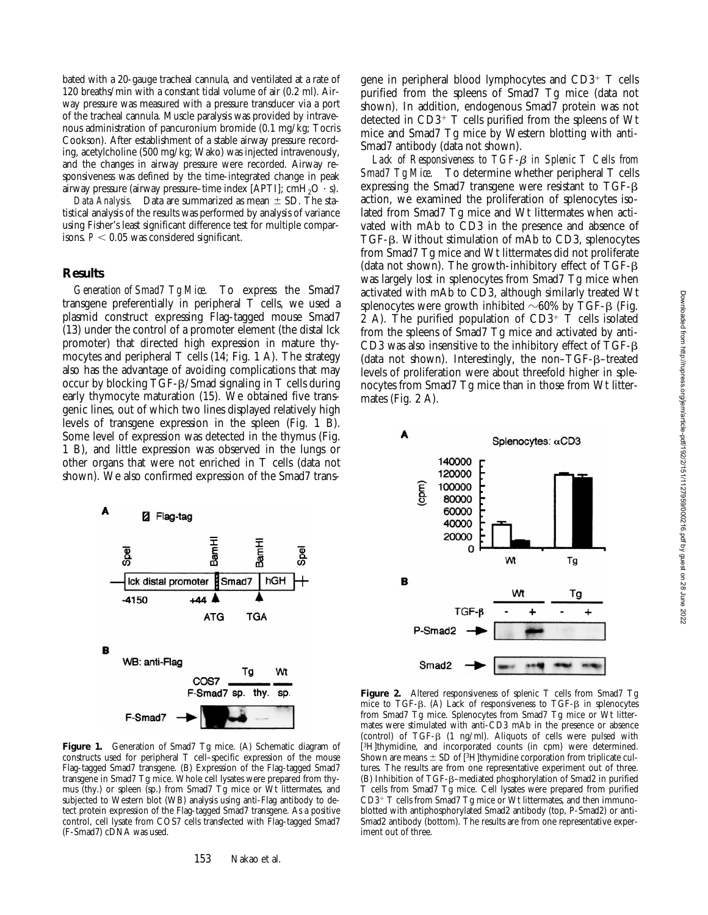bated with a 20-gauge tracheal cannula, and ventilated at a rate of 120 breaths/min with a constant tidal volume of air (0.2 ml). Airway pressure was measured with a pressure transducer via a port of the tracheal cannula. Muscle paralysis was provided by intravenous administration of pancuronium bromide (0.1 mg/kg; Tocris Cookson). After establishment of a stable airway pressure recording, acetylcholine (500 mg/kg; Wako) was injected intravenously, and the changes in airway pressure were recorded. Airway responsiveness was defined by the time-integrated change in peak airway pressure (airway pressure–time index [APTI];  $cmH<sub>2</sub>O \cdot s$ ).

*Data Analysis.* Data are summarized as mean  $\pm$  SD. The statistical analysis of the results was performed by analysis of variance using Fisher's least significant difference test for multiple comparisons.  $P < 0.05$  was considered significant.

#### **Results**

*Generation of Smad7 Tg Mice.* To express the Smad7 transgene preferentially in peripheral T cells, we used a plasmid construct expressing Flag-tagged mouse Smad7 (13) under the control of a promoter element (the distal lck promoter) that directed high expression in mature thymocytes and peripheral  $T$  cells (14; Fig. 1 A). The strategy also has the advantage of avoiding complications that may occur by blocking TGF-b/Smad signaling in T cells during early thymocyte maturation (15). We obtained five transgenic lines, out of which two lines displayed relatively high levels of transgene expression in the spleen (Fig. 1 B). Some level of expression was detected in the thymus (Fig. 1 B), and little expression was observed in the lungs or other organs that were not enriched in T cells (data not shown). We also confirmed expression of the Smad7 trans-



**Figure 1.** Generation of Smad7 Tg mice. (A) Schematic diagram of constructs used for peripheral T cell–specific expression of the mouse Flag-tagged Smad7 transgene. (B) Expression of the Flag-tagged Smad7 transgene in Smad7 Tg mice. Whole cell lysates were prepared from thymus (thy.) or spleen (sp.) from Smad7 Tg mice or Wt littermates, and subjected to Western blot (WB) analysis using anti-Flag antibody to detect protein expression of the Flag-tagged Smad7 transgene. As a positive control, cell lysate from COS7 cells transfected with Flag-tagged Smad7 (F-Smad7) cDNA was used.

153 Nakao et al.

gene in peripheral blood lymphocytes and  $CD3^+$  T cells purified from the spleens of Smad7 Tg mice (data not shown). In addition, endogenous Smad7 protein was not detected in  $CD3^+$  T cells purified from the spleens of Wt mice and Smad7 Tg mice by Western blotting with anti-Smad7 antibody (data not shown).

*Lack of Responsiveness to TGF-*b *in Splenic T Cells from Smad7 Tg Mice.* To determine whether peripheral T cells expressing the Smad7 transgene were resistant to  $TGF-B$ action, we examined the proliferation of splenocytes isolated from Smad7 Tg mice and Wt littermates when activated with mAb to CD3 in the presence and absence of TGF-b. Without stimulation of mAb to CD3, splenocytes from Smad7 Tg mice and Wt littermates did not proliferate (data not shown). The growth-inhibitory effect of TGF- $\beta$ was largely lost in splenocytes from Smad7 Tg mice when activated with mAb to CD3, although similarly treated Wt splenocytes were growth inhibited  $\sim 60\%$  by TGF- $\beta$  (Fig.  $2$  A). The purified population of CD3<sup>+</sup> T cells isolated from the spleens of Smad7 Tg mice and activated by anti-CD3 was also insensitive to the inhibitory effect of TGF-b (data not shown). Interestingly, the non–TGF-b–treated levels of proliferation were about threefold higher in splenocytes from Smad7 Tg mice than in those from Wt littermates (Fig. 2 A).



**Figure 2.** Altered responsiveness of splenic T cells from Smad7 Tg mice to TGF- $\beta$ . (A) Lack of responsiveness to TGF- $\beta$  in splenocytes from Smad7 Tg mice. Splenocytes from Smad7 Tg mice or Wt littermates were stimulated with anti-CD3 mAb in the presence or absence (control) of  $TGF-B$  (1 ng/ml). Aliquots of cells were pulsed with [<sup>3</sup>H]thymidine, and incorporated counts (in cpm) were determined. Shown are means  $\pm$  SD of [<sup>3</sup>H]thymidine corporation from triplicate cultures. The results are from one representative experiment out of three. (B) Inhibition of TGF-b–mediated phosphorylation of Smad2 in purified T cells from Smad7 Tg mice. Cell lysates were prepared from purified  $CD3^+$  T cells from Smad7 Tg mice or Wt littermates, and then immunoblotted with antiphosphorylated Smad2 antibody (top, P-Smad2) or anti-Smad2 antibody (bottom). The results are from one representative experiment out of three.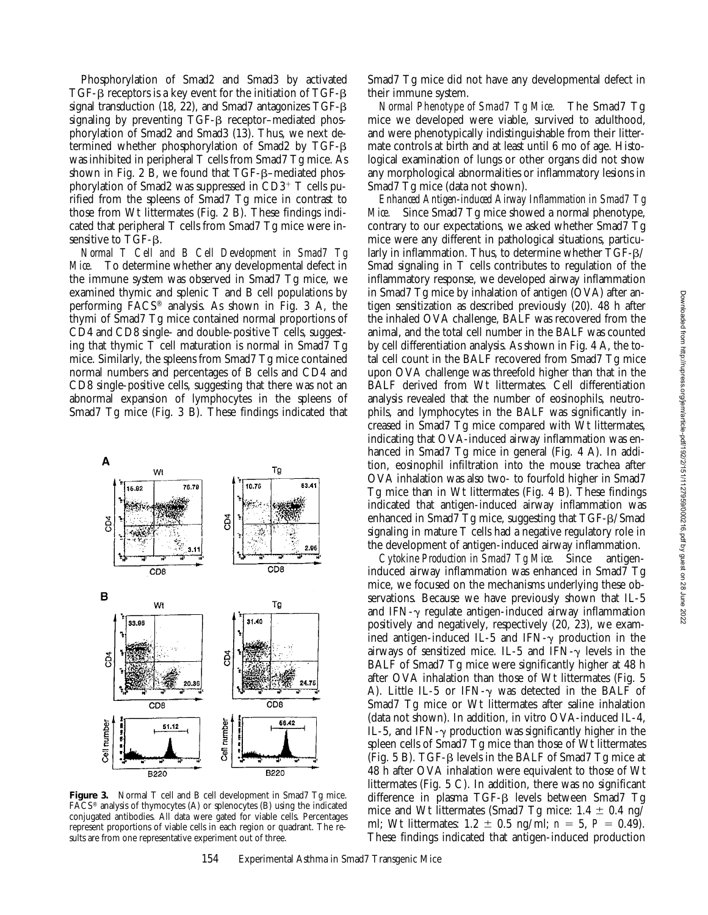Phosphorylation of Smad2 and Smad3 by activated TGF- $\beta$  receptors is a key event for the initiation of TGF- $\beta$ signal transduction (18, 22), and Smad7 antagonizes  $TGF- $\beta$$ signaling by preventing TGF- $\beta$  receptor–mediated phosphorylation of Smad2 and Smad3 (13). Thus, we next determined whether phosphorylation of Smad2 by TGF-b was inhibited in peripheral T cells from Smad7 Tg mice. As shown in Fig. 2 B, we found that TGF-B–mediated phosphorylation of Smad2 was suppressed in  $CD3^+$  T cells purified from the spleens of Smad7 Tg mice in contrast to those from Wt littermates (Fig. 2 B). These findings indicated that peripheral T cells from Smad7 Tg mice were insensitive to TGF- $\beta$ .

*Normal T Cell and B Cell Development in Smad7 Tg Mice.* To determine whether any developmental defect in the immune system was observed in Smad7 Tg mice, we examined thymic and splenic T and B cell populations by performing FACS® analysis. As shown in Fig. 3 A, the thymi of Smad7 Tg mice contained normal proportions of CD4 and CD8 single- and double-positive T cells, suggesting that thymic T cell maturation is normal in Smad7 Tg mice. Similarly, the spleens from Smad7 Tg mice contained normal numbers and percentages of B cells and CD4 and CD8 single-positive cells, suggesting that there was not an abnormal expansion of lymphocytes in the spleens of Smad7 Tg mice (Fig. 3 B). These findings indicated that



**Figure 3.** Normal T cell and B cell development in Smad7 Tg mice. FACS® analysis of thymocytes (A) or splenocytes (B) using the indicated conjugated antibodies. All data were gated for viable cells. Percentages represent proportions of viable cells in each region or quadrant. The results are from one representative experiment out of three.

Smad7 Tg mice did not have any developmental defect in their immune system.

*Normal Phenotype of Smad7 Tg Mice.* The Smad7 Tg mice we developed were viable, survived to adulthood, and were phenotypically indistinguishable from their littermate controls at birth and at least until 6 mo of age. Histological examination of lungs or other organs did not show any morphological abnormalities or inflammatory lesions in Smad7 Tg mice (data not shown).

*Enhanced Antigen-induced Airway Inflammation in Smad7 Tg Mice.* Since Smad7 Tg mice showed a normal phenotype, contrary to our expectations, we asked whether Smad7 Tg mice were any different in pathological situations, particularly in inflammation. Thus, to determine whether TGF-β/ Smad signaling in T cells contributes to regulation of the inflammatory response, we developed airway inflammation in Smad7 Tg mice by inhalation of antigen (OVA) after antigen sensitization as described previously (20). 48 h after the inhaled OVA challenge, BALF was recovered from the animal, and the total cell number in the BALF was counted by cell differentiation analysis. As shown in Fig. 4 A, the total cell count in the BALF recovered from Smad7 Tg mice upon OVA challenge was threefold higher than that in the BALF derived from Wt littermates. Cell differentiation analysis revealed that the number of eosinophils, neutrophils, and lymphocytes in the BALF was significantly increased in Smad7 Tg mice compared with Wt littermates, indicating that OVA-induced airway inflammation was enhanced in Smad7 Tg mice in general (Fig. 4 A). In addition, eosinophil infiltration into the mouse trachea after OVA inhalation was also two- to fourfold higher in Smad7 Tg mice than in Wt littermates (Fig. 4 B). These findings indicated that antigen-induced airway inflammation was enhanced in Smad7 Tg mice, suggesting that TGF-β/Smad signaling in mature T cells had a negative regulatory role in the development of antigen-induced airway inflammation.

*Cytokine Production in Smad7 Tg Mice.* Since antigeninduced airway inflammation was enhanced in Smad7 Tg mice, we focused on the mechanisms underlying these observations. Because we have previously shown that IL-5 and IFN- $\gamma$  regulate antigen-induced airway inflammation positively and negatively, respectively (20, 23), we examined antigen-induced IL-5 and IFN- $\gamma$  production in the airways of sensitized mice. IL-5 and IFN- $\gamma$  levels in the BALF of Smad7 Tg mice were significantly higher at 48 h after OVA inhalation than those of Wt littermates (Fig. 5 A). Little IL-5 or IFN- $\gamma$  was detected in the BALF of Smad7 Tg mice or Wt littermates after saline inhalation (data not shown). In addition, in vitro OVA-induced IL-4, IL-5, and IFN- $\gamma$  production was significantly higher in the spleen cells of Smad7 Tg mice than those of Wt littermates (Fig.  $5 B$ ). TGF- $\beta$  levels in the BALF of Smad7 Tg mice at 48 h after OVA inhalation were equivalent to those of Wt littermates (Fig. 5 C). In addition, there was no significant difference in plasma TGF- $\beta$  levels between Smad7 Tg mice and Wt littermates (Smad7 Tg mice:  $1.4 \pm 0.4$  ng/ ml; Wt littermates:  $1.2 \pm 0.5$  ng/ml;  $n = 5$ ,  $P = 0.49$ . These findings indicated that antigen-induced production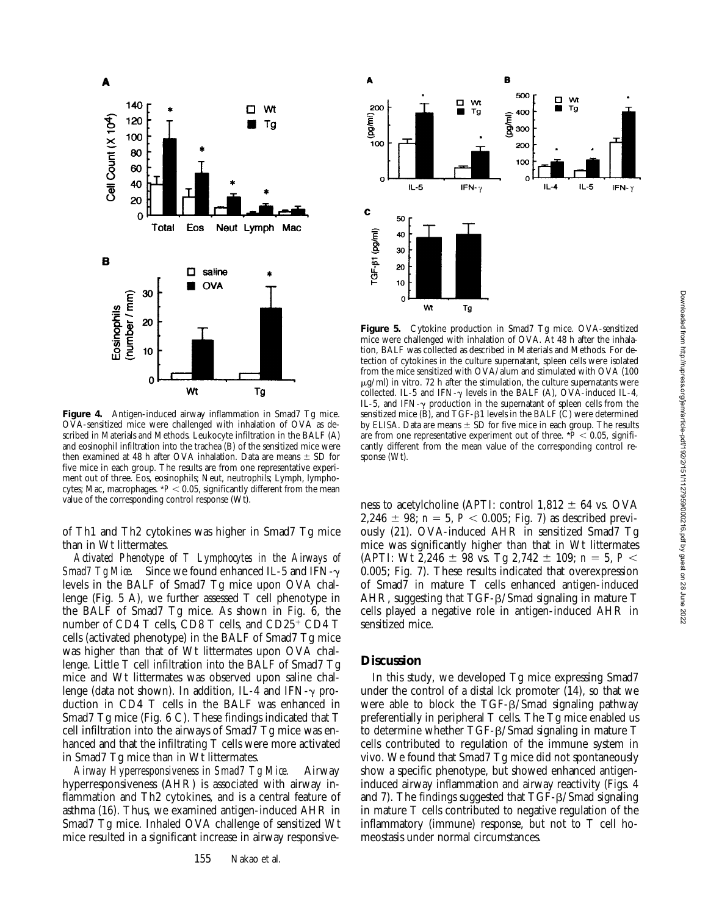

**Figure 4.** Antigen-induced airway inflammation in Smad7 Tg mice. OVA-sensitized mice were challenged with inhalation of OVA as described in Materials and Methods. Leukocyte infiltration in the BALF (A) and eosinophil infiltration into the trachea (B) of the sensitized mice were then examined at 48 h after OVA inhalation. Data are means  $\pm$  SD for five mice in each group. The results are from one representative experiment out of three. Eos, eosinophils; Neut, neutrophils; Lymph, lymphocytes; Mac, macrophages.  $*P < 0.05$ , significantly different from the mean value of the corresponding control response (Wt).

of Th1 and Th2 cytokines was higher in Smad7 Tg mice than in Wt littermates.

*Activated Phenotype of T Lymphocytes in the Airways of Smad7 Tg Mice.* Since we found enhanced IL-5 and IFN- $\gamma$ levels in the BALF of Smad7 Tg mice upon OVA challenge (Fig. 5 A), we further assessed T cell phenotype in the BALF of Smad7 Tg mice. As shown in Fig. 6, the number of CD4 T cells, CD8 T cells, and  $CD25<sup>+</sup>$  CD4 T cells (activated phenotype) in the BALF of Smad7 Tg mice was higher than that of Wt littermates upon OVA challenge. Little T cell infiltration into the BALF of Smad7 Tg mice and Wt littermates was observed upon saline challenge (data not shown). In addition, IL-4 and IFN- $\gamma$  production in CD4 T cells in the BALF was enhanced in Smad7 Tg mice (Fig. 6 C). These findings indicated that T cell infiltration into the airways of Smad7 Tg mice was enhanced and that the infiltrating T cells were more activated in Smad7 Tg mice than in Wt littermates.

*Airway Hyperresponsiveness in Smad7 Tg Mice.* Airway hyperresponsiveness (AHR) is associated with airway inflammation and Th2 cytokines, and is a central feature of asthma (16). Thus, we examined antigen-induced AHR in Smad7 Tg mice. Inhaled OVA challenge of sensitized Wt mice resulted in a significant increase in airway responsive-



**Figure 5.** Cytokine production in Smad7 Tg mice. OVA-sensitized mice were challenged with inhalation of OVA. At 48 h after the inhalation, BALF was collected as described in Materials and Methods. For detection of cytokines in the culture supernatant, spleen cells were isolated from the mice sensitized with OVA/alum and stimulated with OVA (100  $\mu$ g/ml) in vitro. 72 h after the stimulation, the culture supernatants were collected. IL-5 and IFN- $\gamma$  levels in the BALF (A), OVA-induced IL-4, IL-5, and IFN- $\gamma$  production in the supernatant of spleen cells from the sensitized mice  $(B)$ , and TGF- $\beta$ 1 levels in the BALF  $(C)$  were determined by ELISA. Data are means  $\pm$  SD for five mice in each group. The results are from one representative experiment out of three.  $*P < 0.05$ , significantly different from the mean value of the corresponding control response (Wt).

ness to acetylcholine (APTI: control  $1,812 \pm 64$  vs. OVA  $2,246 \pm 98$ ;  $n = 5$ ,  $P < 0.005$ ; Fig. 7) as described previously (21). OVA-induced AHR in sensitized Smad7 Tg mice was significantly higher than that in Wt littermates (APTI: Wt 2,246  $\pm$  98 vs. Tg 2,742  $\pm$  109; *n* = 5, *P* < 0.005; Fig. 7). These results indicated that overexpression of Smad7 in mature T cells enhanced antigen-induced AHR, suggesting that  $TGF- $\beta$ /Smad signaling in mature T$ cells played a negative role in antigen-induced AHR in sensitized mice.

### **Discussion**

In this study, we developed Tg mice expressing Smad7 under the control of a distal lck promoter (14), so that we were able to block the TGF- $\beta$ /Smad signaling pathway preferentially in peripheral T cells. The Tg mice enabled us to determine whether TGF-β/Smad signaling in mature T cells contributed to regulation of the immune system in vivo. We found that Smad7 Tg mice did not spontaneously show a specific phenotype, but showed enhanced antigeninduced airway inflammation and airway reactivity (Figs. 4 and 7). The findings suggested that TGF- $\beta$ /Smad signaling in mature T cells contributed to negative regulation of the inflammatory (immune) response, but not to T cell homeostasis under normal circumstances.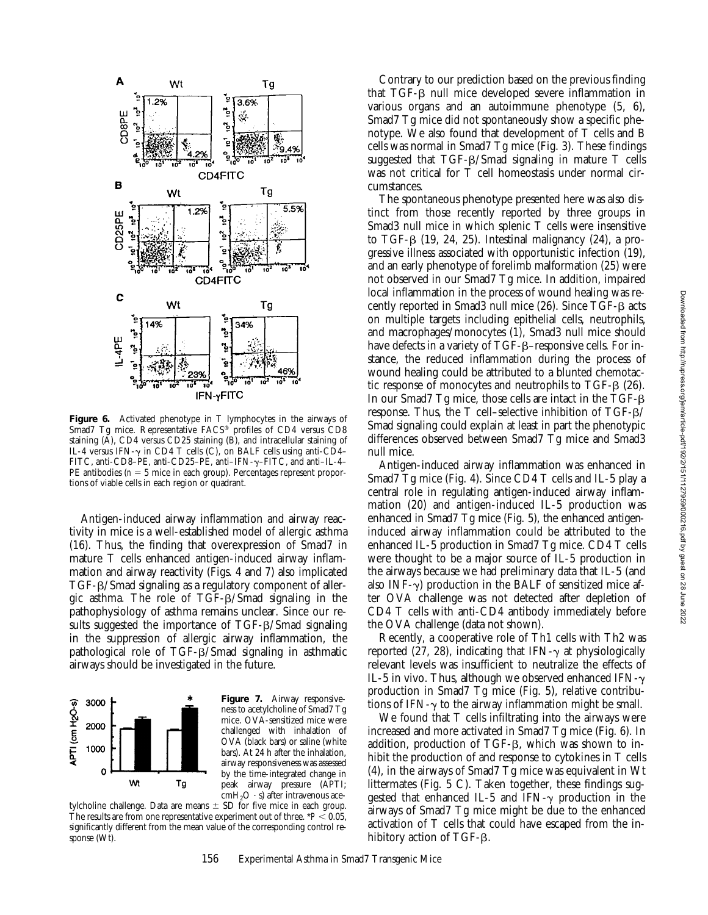

**Figure 6.** Activated phenotype in T lymphocytes in the airways of Smad7 Tg mice. Representative FACS® profiles of CD4 versus CD8 staining  $(A)$ , CD4 versus CD25 staining  $(B)$ , and intracellular staining of IL-4 versus IFN- $\gamma$  in CD4 T cells (C), on BALF cells using anti-CD4– FITC, anti-CD8–PE, anti-CD25–PE, anti–IFN-g–FITC, and anti–IL-4– PE antibodies  $(n = 5$  mice in each group). Percentages represent proportions of viable cells in each region or quadrant.

Antigen-induced airway inflammation and airway reactivity in mice is a well-established model of allergic asthma (16). Thus, the finding that overexpression of Smad7 in mature T cells enhanced antigen-induced airway inflammation and airway reactivity (Figs. 4 and 7) also implicated  $TGF-B/Sm$ ad signaling as a regulatory component of allergic asthma. The role of  $TGF- $\beta$ /Smad signaling in the$ pathophysiology of asthma remains unclear. Since our results suggested the importance of TGF- $\beta$ /Smad signaling in the suppression of allergic airway inflammation, the pathological role of TGF-b/Smad signaling in asthmatic airways should be investigated in the future.



**Figure 7.** Airway responsiveness to acetylcholine of Smad7 Tg mice. OVA-sensitized mice were challenged with inhalation of OVA (black bars) or saline (white bars). At 24 h after the inhalation, airway responsiveness was assessed by the time-integrated change in peak airway pressure (APTI;  $cmH<sub>2</sub>O \cdot s$ ) after intravenous ace-

tylcholine challenge. Data are means  $\pm$  SD for five mice in each group. The results are from one representative experiment out of three.  $*P < 0.05$ , significantly different from the mean value of the corresponding control response (Wt).

Contrary to our prediction based on the previous finding that  $TGF-\beta$  null mice developed severe inflammation in various organs and an autoimmune phenotype (5, 6), Smad7 Tg mice did not spontaneously show a specific phenotype. We also found that development of T cells and B cells was normal in Smad7 Tg mice (Fig. 3). These findings suggested that  $TGF- $\beta$ /Smad signaling in mature T cells$ was not critical for T cell homeostasis under normal circumstances.

The spontaneous phenotype presented here was also distinct from those recently reported by three groups in Smad3 null mice in which splenic T cells were insensitive to TGF- $\beta$  (19, 24, 25). Intestinal malignancy (24), a progressive illness associated with opportunistic infection (19), and an early phenotype of forelimb malformation (25) were not observed in our Smad7 Tg mice. In addition, impaired local inflammation in the process of wound healing was recently reported in Smad3 null mice (26). Since TGF- $\beta$  acts on multiple targets including epithelial cells, neutrophils, and macrophages/monocytes (1), Smad3 null mice should have defects in a variety of TGF-ß–responsive cells. For instance, the reduced inflammation during the process of wound healing could be attributed to a blunted chemotactic response of monocytes and neutrophils to  $TGF-\beta$  (26). In our Smad7 Tg mice, those cells are intact in the TGF-b response. Thus, the T cell–selective inhibition of TGF-b/ Smad signaling could explain at least in part the phenotypic differences observed between Smad7 Tg mice and Smad3 null mice.

Antigen-induced airway inflammation was enhanced in Smad7 Tg mice (Fig. 4). Since CD4 T cells and IL-5 play a central role in regulating antigen-induced airway inflammation (20) and antigen-induced IL-5 production was enhanced in Smad7 Tg mice (Fig. 5), the enhanced antigeninduced airway inflammation could be attributed to the enhanced IL-5 production in Smad7 Tg mice. CD4 T cells were thought to be a major source of IL-5 production in the airways because we had preliminary data that IL-5 (and also INF- $\gamma$ ) production in the BALF of sensitized mice after OVA challenge was not detected after depletion of CD4 T cells with anti-CD4 antibody immediately before the OVA challenge (data not shown).

Recently, a cooperative role of Th1 cells with Th2 was reported (27, 28), indicating that IFN- $\gamma$  at physiologically relevant levels was insufficient to neutralize the effects of IL-5 in vivo. Thus, although we observed enhanced IFN- $\gamma$ production in Smad7 Tg mice (Fig. 5), relative contributions of IFN- $\gamma$  to the airway inflammation might be small.

We found that T cells infiltrating into the airways were increased and more activated in Smad7 Tg mice (Fig. 6). In addition, production of TGF- $\beta$ , which was shown to inhibit the production of and response to cytokines in T cells (4), in the airways of Smad7 Tg mice was equivalent in Wt littermates (Fig. 5 C). Taken together, these findings suggested that enhanced IL-5 and IFN- $\gamma$  production in the airways of Smad7 Tg mice might be due to the enhanced activation of T cells that could have escaped from the inhibitory action of  $TGF- $\beta$ .$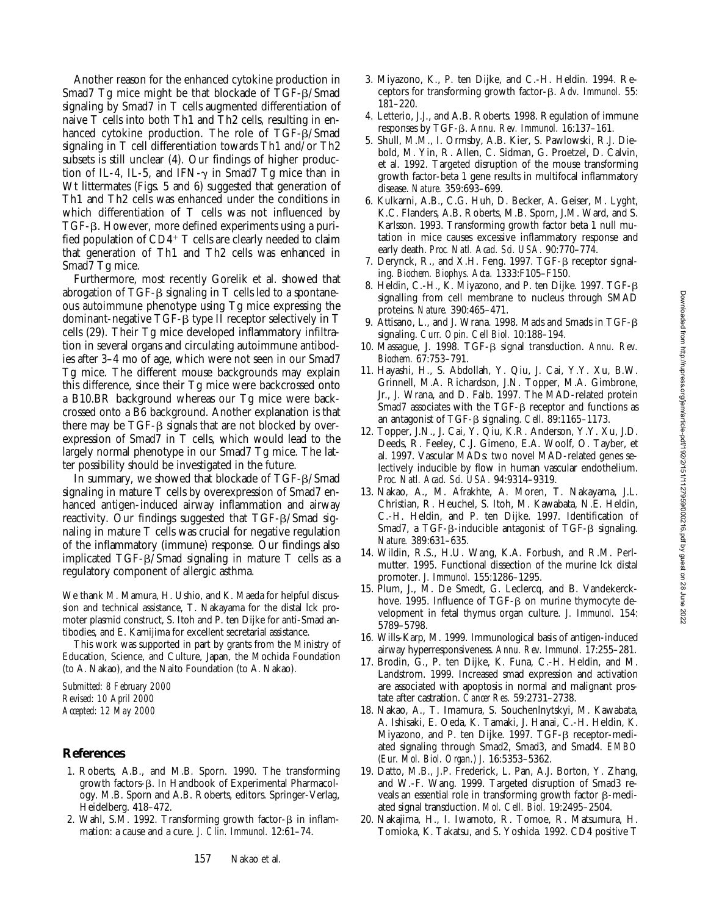Another reason for the enhanced cytokine production in Smad7 Tg mice might be that blockade of TGF- $\beta$ /Smad signaling by Smad7 in T cells augmented differentiation of naive T cells into both Th1 and Th2 cells, resulting in enhanced cytokine production. The role of TGF- $\beta$ /Smad signaling in T cell differentiation towards Th1 and/or Th2 subsets is still unclear (4). Our findings of higher production of IL-4, IL-5, and IFN- $\gamma$  in Smad7 Tg mice than in Wt littermates (Figs. 5 and 6) suggested that generation of Th1 and Th2 cells was enhanced under the conditions in which differentiation of T cells was not influenced by TGF-b. However, more defined experiments using a purified population of  $CD4+T$  cells are clearly needed to claim that generation of Th1 and Th2 cells was enhanced in Smad7 Tg mice.

Furthermore, most recently Gorelik et al. showed that abrogation of  $TGF-\beta$  signaling in  $T$  cells led to a spontaneous autoimmune phenotype using Tg mice expressing the dominant-negative TGF-b type II receptor selectively in T cells (29). Their Tg mice developed inflammatory infiltration in several organs and circulating autoimmune antibodies after 3–4 mo of age, which were not seen in our Smad7 Tg mice. The different mouse backgrounds may explain this difference, since their Tg mice were backcrossed onto a B10.BR background whereas our Tg mice were backcrossed onto a B6 background. Another explanation is that there may be  $TGF- $\beta$  signals that are not blocked by over$ expression of Smad7 in T cells, which would lead to the largely normal phenotype in our Smad7 Tg mice. The latter possibility should be investigated in the future.

In summary, we showed that blockade of  $TGF- $\beta$ /Smad$ signaling in mature T cells by overexpression of Smad7 enhanced antigen-induced airway inflammation and airway reactivity. Our findings suggested that  $TGF-\beta/S$  mad signaling in mature T cells was crucial for negative regulation of the inflammatory (immune) response. Our findings also implicated  $TGF-\beta/Sm$ ad signaling in mature  $T$  cells as a regulatory component of allergic asthma.

We thank M. Mamura, H. Ushio, and K. Maeda for helpful discussion and technical assistance, T. Nakayama for the distal lck promoter plasmid construct, S. Itoh and P. ten Dijke for anti-Smad antibodies, and E. Kamijima for excellent secretarial assistance.

This work was supported in part by grants from the Ministry of Education, Science, and Culture, Japan, the Mochida Foundation (to A. Nakao), and the Naito Foundation (to A. Nakao).

*Submitted: 8 February 2000 Revised: 10 April 2000 Accepted: 12 May 2000*

#### **References**

- 1. Roberts, A.B., and M.B. Sporn. 1990. The transforming growth factors-b. *In* Handbook of Experimental Pharmacology. M.B. Sporn and A.B. Roberts, editors. Springer-Verlag, Heidelberg. 418–472.
- 2. Wahl, S.M. 1992. Transforming growth factor- $\beta$  in inflammation: a cause and a cure. *J. Clin. Immunol.* 12:61–74.
- 3. Miyazono, K., P. ten Dijke, and C.-H. Heldin. 1994. Receptors for transforming growth factor-b. *Adv. Immunol.* 55: 181–220.
- 4. Letterio, J.J., and A.B. Roberts. 1998. Regulation of immune responses by TGF-b. *Annu. Rev. Immunol.* 16:137–161.
- 5. Shull, M.M., I. Ormsby, A.B. Kier, S. Pawlowski, R.J. Diebold, M. Yin, R. Allen, C. Sidman, G. Proetzel, D. Calvin, et al. 1992. Targeted disruption of the mouse transforming growth factor-beta 1 gene results in multifocal inflammatory disease. *Nature.* 359:693–699.
- 6. Kulkarni, A.B., C.G. Huh, D. Becker, A. Geiser, M. Lyght, K.C. Flanders, A.B. Roberts, M.B. Sporn, J.M. Ward, and S. Karlsson. 1993. Transforming growth factor beta 1 null mutation in mice causes excessive inflammatory response and early death. *Proc. Natl. Acad. Sci. USA.* 90:770–774.
- 7. Derynck, R., and X.H. Feng. 1997. TGF- $\beta$  receptor signaling. *Biochem. Biophys. Acta.* 1333:F105–F150.
- 8. Heldin, C.-H., K. Miyazono, and P. ten Dijke. 1997. TGF-b signalling from cell membrane to nucleus through SMAD proteins. *Nature.* 390:465–471.
- 9. Attisano, L., and J. Wrana. 1998. Mads and Smads in TGF-b signaling. *Curr. Opin. Cell Biol.* 10:188–194.
- 10. Massague, J. 1998. TGF-b signal transduction. *Annu. Rev. Biochem.* 67:753–791.
- 11. Hayashi, H., S. Abdollah, Y. Qiu, J. Cai, Y.Y. Xu, B.W. Grinnell, M.A. Richardson, J.N. Topper, M.A. Gimbrone, Jr., J. Wrana, and D. Falb. 1997. The MAD-related protein Smad7 associates with the TGF- $\beta$  receptor and functions as an antagonist of TGF-b signaling. *Cell.* 89:1165–1173.
- 12. Topper, J.N., J. Cai, Y. Qiu, K.R. Anderson, Y.Y. Xu, J.D. Deeds, R. Feeley, C.J. Gimeno, E.A. Woolf, O. Tayber, et al. 1997. Vascular MADs: two novel MAD-related genes selectively inducible by flow in human vascular endothelium. *Proc. Natl. Acad. Sci. USA.* 94:9314–9319.
- 13. Nakao, A., M. Afrakhte, A. Moren, T. Nakayama, J.L. Christian, R. Heuchel, S. Itoh, M. Kawabata, N.E. Heldin, C.-H. Heldin, and P. ten Dijke. 1997. Identification of Smad7, a TGF- $\beta$ -inducible antagonist of TGF- $\beta$  signaling. *Nature.* 389:631–635.
- 14. Wildin, R.S., H.U. Wang, K.A. Forbush, and R.M. Perlmutter. 1995. Functional dissection of the murine lck distal promoter. *J. Immunol.* 155:1286–1295.
- 15. Plum, J., M. De Smedt, G. Leclercq, and B. Vandekerckhove. 1995. Influence of TGF- $\beta$  on murine thymocyte development in fetal thymus organ culture. *J. Immunol.* 154: 5789–5798.
- 16. Wills-Karp, M. 1999. Immunological basis of antigen-induced airway hyperresponsiveness. *Annu. Rev. Immunol.* 17:255–281.
- 17. Brodin, G., P. ten Dijke, K. Funa, C.-H. Heldin, and M. Landstrom. 1999. Increased smad expression and activation are associated with apoptosis in normal and malignant prostate after castration. *Cancer Res.* 59:2731–2738.
- 18. Nakao, A., T. Imamura, S. Souchenlnytskyi, M. Kawabata, A. Ishisaki, E. Oeda, K. Tamaki, J. Hanai, C.-H. Heldin, K. Miyazono, and P. ten Dijke. 1997. TGF- $\beta$  receptor-mediated signaling through Smad2, Smad3, and Smad4. *EMBO (Eur. Mol. Biol. Organ.) J.* 16:5353–5362.
- 19. Datto, M.B., J.P. Frederick, L. Pan, A.J. Borton, Y. Zhang, and W.-F. Wang. 1999. Targeted disruption of Smad3 reveals an essential role in transforming growth factor  $\beta$ -mediated signal transduction. *Mol. Cell. Biol.* 19:2495–2504.
- 20. Nakajima, H., I. Iwamoto, R. Tomoe, R. Matsumura, H. Tomioka, K. Takatsu, and S. Yoshida. 1992. CD4 positive T